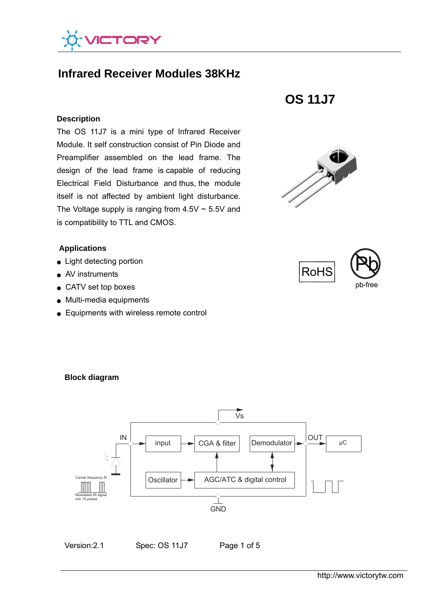

# **Infrared Receiver Modules 38KHz**

#### **Description**

The OS 11J7 is a mini type of Infrared Receiver Module. It self construction consist of Pin Diode and Preamplifier assembled on the lead frame. The design of the lead frame is capable of reducing Electrical Field Disturbance and thus, the module itself is not affected by ambient light disturbance. The Voltage supply is ranging from  $4.5V \sim 5.5V$  and is compatibility to TTL and CMOS.

#### **Applications**

- Light detecting portion
- AV instruments
- CATV set top boxes
- Multi-media equipments
- Equipments with wireless remote control









# **Block diagram**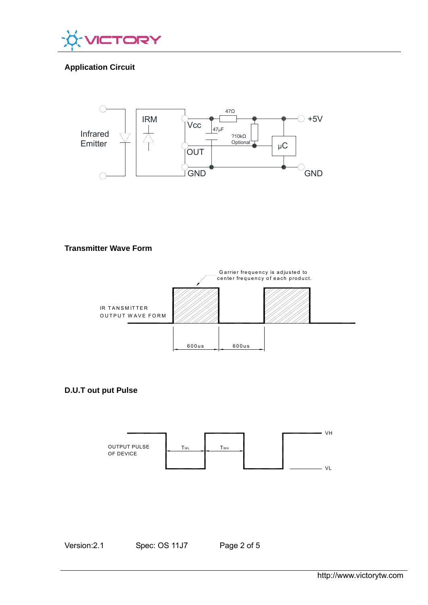

# **Application Circuit**



#### **Transmitter Wave Form**



**D.U.T out put Pulse** 



Version: 2.1 Spec: OS 11J7 Page 2 of 5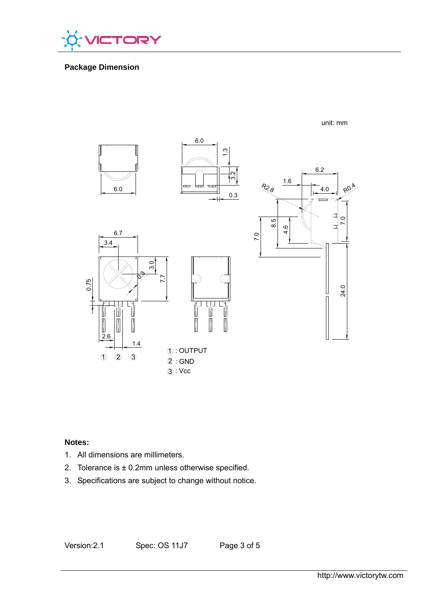

## **Package Dimension**



#### unit: mm

# **Notes:**

- 1. All dimensions are millimeters.
- 2. Tolerance is  $\pm$  0.2mm unless otherwise specified.
- 3. Specifications are subject to change without notice.

Version: 2.1 Spec: OS 11J7 Page 3 of 5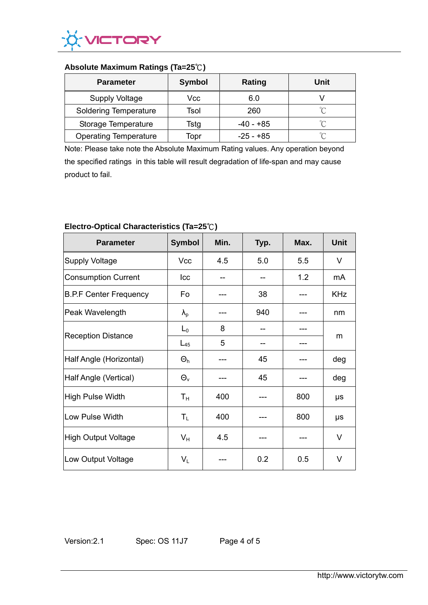

#### **Absolute Maximum Ratings (Ta=25**℃**)**

| <b>Parameter</b>             | <b>Symbol</b> | Rating      | Unit   |
|------------------------------|---------------|-------------|--------|
| <b>Supply Voltage</b>        | Vcc           | 6.0         |        |
| <b>Soldering Temperature</b> | Tsol          | 260         | $\sim$ |
| Storage Temperature          | Tstg          | -40 - +85   | $\sim$ |
| <b>Operating Temperature</b> | Topr          | $-25 - +85$ | $\sim$ |

Note: Please take note the Absolute Maximum Rating values. Any operation beyond the specified ratings in this table will result degradation of life-span and may cause product to fail.

| <b>Parameter</b>              | <b>Symbol</b>     | Min. | Typ. | Max. | <b>Unit</b> |
|-------------------------------|-------------------|------|------|------|-------------|
| <b>Supply Voltage</b>         | Vcc               | 4.5  | 5.0  | 5.5  | $\vee$      |
| <b>Consumption Current</b>    | Icc               |      |      | 1.2  | mA          |
| <b>B.P.F Center Frequency</b> | Fo                |      | 38   |      | <b>KHz</b>  |
| Peak Wavelength               | $\lambda_{\rm p}$ |      | 940  |      | nm          |
| <b>Reception Distance</b>     | $L_0$             | 8    |      |      | m           |
|                               | $L_{45}$          | 5    |      |      |             |
| Half Angle (Horizontal)       | $\Theta_h$        |      | 45   |      | deg         |
| Half Angle (Vertical)         | $\Theta_{\rm v}$  |      | 45   |      | deg         |
| High Pulse Width              | $T_{\rm H}$       | 400  |      | 800  | μs          |
| Low Pulse Width               | $T_{L}$           | 400  |      | 800  | μs          |
| High Output Voltage           | $V_{H}$           | 4.5  |      |      | V           |
| Low Output Voltage            | $V_L$             |      | 0.2  | 0.5  | V           |

# **Electro-Optical Characteristics (Ta=25**℃**)**